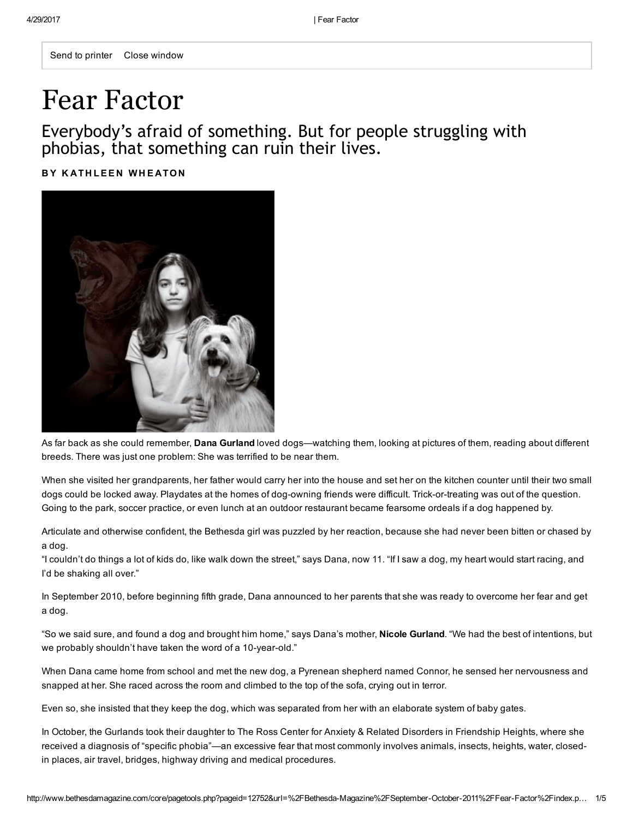Send to printer Close window

# Fear Factor

Everybody's afraid of something. But for people struggling with phobias, that something can ruin their lives.

BY KATHLEEN WHEATON



As far back as she could remember, Dana Gurland loved dogs—watching them, looking at pictures of them, reading about different breeds. There was just one problem: She was terrified to be near them.

When she visited her grandparents, her father would carry her into the house and set her on the kitchen counter until their two small dogs could be locked away. Playdates at the homes of dog-owning friends were difficult. Trick-or-treating was out of the question. Going to the park, soccer practice, or even lunch at an outdoor restaurant became fearsome ordeals if a dog happened by.

Articulate and otherwise confident, the Bethesda girl was puzzled by her reaction, because she had never been bitten or chased by a dog.

"I couldn't do things a lot of kids do, like walk down the street," says Dana, now 11. "If I saw a dog, my heart would start racing, and I'd be shaking all over."

In September 2010, before beginning fifth grade, Dana announced to her parents that she was ready to overcome her fear and get a dog.

"So we said sure, and found a dog and brought him home," says Dana's mother, Nicole Gurland. "We had the best of intentions, but we probably shouldn't have taken the word of a 10-year-old."

When Dana came home from school and met the new dog, a Pyrenean shepherd named Connor, he sensed her nervousness and snapped at her. She raced across the room and climbed to the top of the sofa, crying out in terror.

Even so, she insisted that they keep the dog, which was separated from her with an elaborate system of baby gates.

In October, the Gurlands took their daughter to The Ross Center for Anxiety & Related Disorders in Friendship Heights, where she received a diagnosis of "specific phobia"—an excessive fear that most commonly involves animals, insects, heights, water, closedin places, air travel, bridges, highway driving and medical procedures.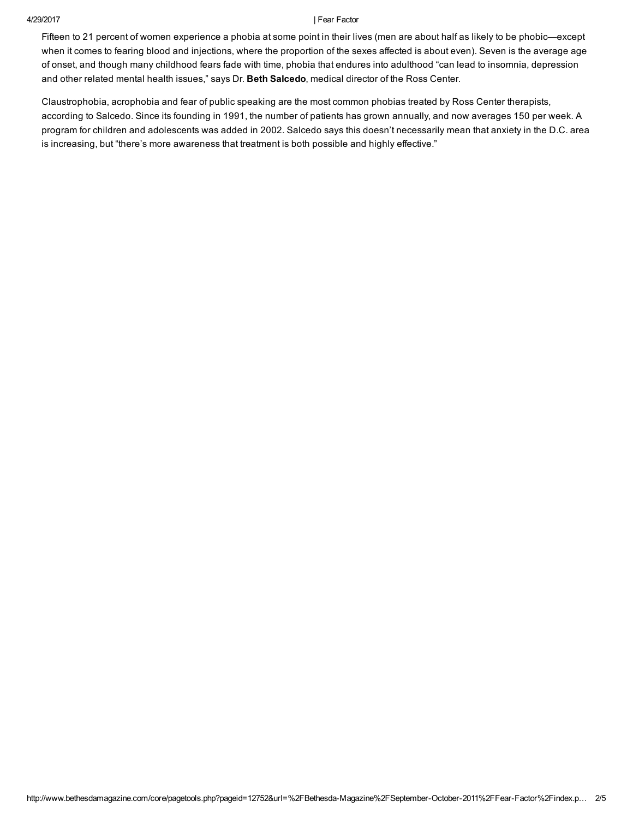Fifteen to 21 percent of women experience a phobia at some point in their lives (men are about half as likely to be phobic—except when it comes to fearing blood and injections, where the proportion of the sexes affected is about even). Seven is the average age of onset, and though many childhood fears fade with time, phobia that endures into adulthood "can lead to insomnia, depression and other related mental health issues," says Dr. Beth Salcedo, medical director of the Ross Center.

Claustrophobia, acrophobia and fear of public speaking are the most common phobias treated by Ross Center therapists, according to Salcedo. Since its founding in 1991, the number of patients has grown annually, and now averages 150 per week. A program for children and adolescents was added in 2002. Salcedo says this doesn't necessarily mean that anxiety in the D.C. area is increasing, but "there's more awareness that treatment is both possible and highly effective."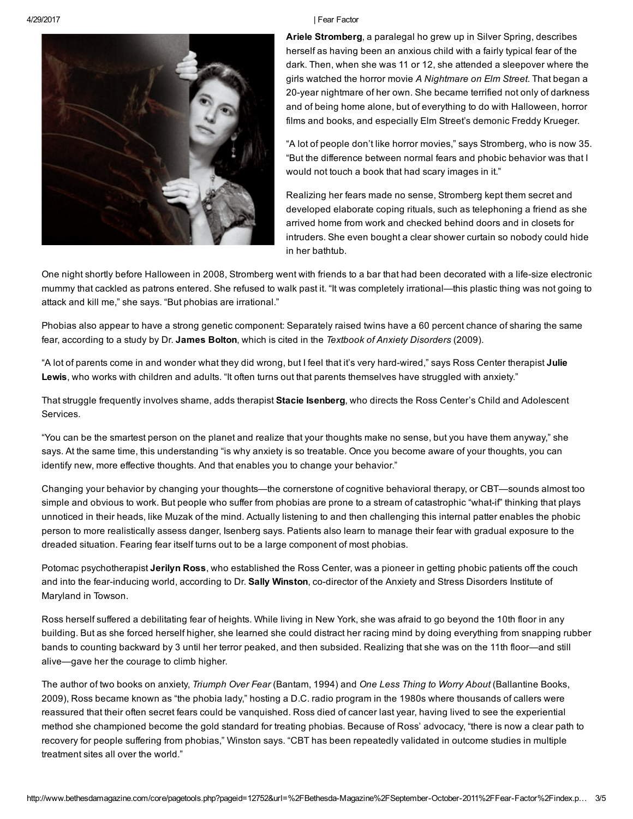

Ariele Stromberg, a paralegal ho grew up in Silver Spring, describes herself as having been an anxious child with a fairly typical fear of the dark. Then, when she was 11 or 12, she attended a sleepover where the girls watched the horror movie A Nightmare on Elm Street. That began a 20-year nightmare of her own. She became terrified not only of darkness and of being home alone, but of everything to do with Halloween, horror films and books, and especially Elm Street's demonic Freddy Krueger.

"A lot of people don't like horror movies," says Stromberg, who is now 35. "But the difference between normal fears and phobic behavior was that I would not touch a book that had scary images in it."

Realizing her fears made no sense, Stromberg kept them secret and developed elaborate coping rituals, such as telephoning a friend as she arrived home from work and checked behind doors and in closets for intruders. She even bought a clear shower curtain so nobody could hide in her bathtub.

One night shortly before Halloween in 2008, Stromberg went with friends to a bar that had been decorated with a life-size electronic mummy that cackled as patrons entered. She refused to walk past it. "It was completely irrational—this plastic thing was not going to attack and kill me," she says. "But phobias are irrational."

Phobias also appear to have a strong genetic component: Separately raised twins have a 60 percent chance of sharing the same fear, according to a study by Dr. James Bolton, which is cited in the Textbook of Anxiety Disorders (2009).

"A lot of parents come in and wonder what they did wrong, but I feel that it's very hard-wired," says Ross Center therapist Julie Lewis, who works with children and adults. "It often turns out that parents themselves have struggled with anxiety."

That struggle frequently involves shame, adds therapist Stacie Isenberg, who directs the Ross Center's Child and Adolescent Services.

"You can be the smartest person on the planet and realize that your thoughts make no sense, but you have them anyway," she says. At the same time, this understanding "is why anxiety is so treatable. Once you become aware of your thoughts, you can identify new, more effective thoughts. And that enables you to change your behavior."

Changing your behavior by changing your thoughts—the cornerstone of cognitive behavioral therapy, or CBT—sounds almost too simple and obvious to work. But people who suffer from phobias are prone to a stream of catastrophic "what-if" thinking that plays unnoticed in their heads, like Muzak of the mind. Actually listening to and then challenging this internal patter enables the phobic person to more realistically assess danger, Isenberg says. Patients also learn to manage their fear with gradual exposure to the dreaded situation. Fearing fear itself turns out to be a large component of most phobias.

Potomac psychotherapist Jerilyn Ross, who established the Ross Center, was a pioneer in getting phobic patients off the couch and into the fear-inducing world, according to Dr. Sally Winston, co-director of the Anxiety and Stress Disorders Institute of Maryland in Towson.

Ross herself suffered a debilitating fear of heights. While living in New York, she was afraid to go beyond the 10th floor in any building. But as she forced herself higher, she learned she could distract her racing mind by doing everything from snapping rubber bands to counting backward by 3 until her terror peaked, and then subsided. Realizing that she was on the 11th floor—and still alive—gave her the courage to climb higher.

The author of two books on anxiety, Triumph Over Fear (Bantam, 1994) and One Less Thing to Worry About (Ballantine Books, 2009), Ross became known as "the phobia lady," hosting a D.C. radio program in the 1980s where thousands of callers were reassured that their often secret fears could be vanquished. Ross died of cancer last year, having lived to see the experiential method she championed become the gold standard for treating phobias. Because of Ross' advocacy, "there is now a clear path to recovery for people suffering from phobias," Winston says. "CBT has been repeatedly validated in outcome studies in multiple treatment sites all over the world."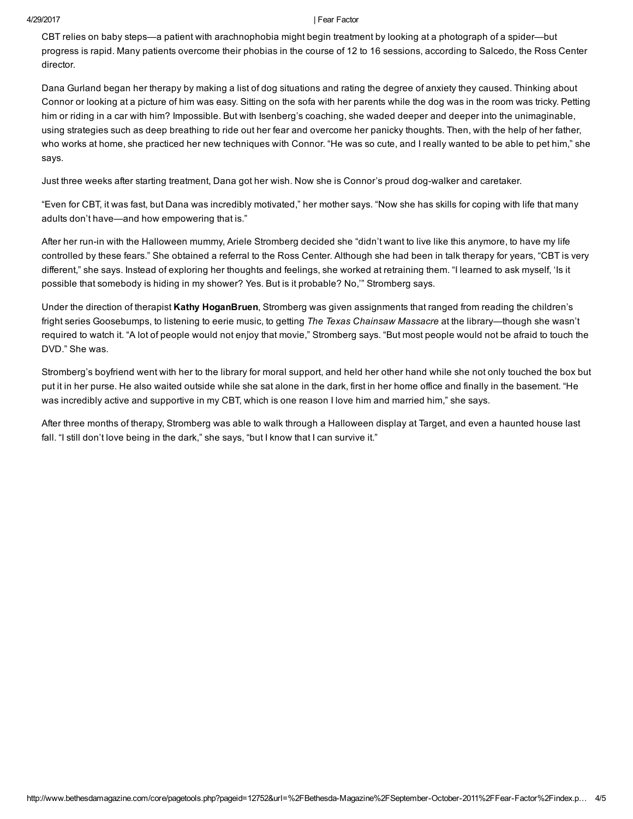CBT relies on baby steps—a patient with arachnophobia might begin treatment by looking at a photograph of a spider—but progress is rapid. Many patients overcome their phobias in the course of 12 to 16 sessions, according to Salcedo, the Ross Center director.

Dana Gurland began her therapy by making a list of dog situations and rating the degree of anxiety they caused. Thinking about Connor or looking at a picture of him was easy. Sitting on the sofa with her parents while the dog was in the room was tricky. Petting him or riding in a car with him? Impossible. But with Isenberg's coaching, she waded deeper and deeper into the unimaginable, using strategies such as deep breathing to ride out her fear and overcome her panicky thoughts. Then, with the help of her father, who works at home, she practiced her new techniques with Connor. "He was so cute, and I really wanted to be able to pet him," she says.

Just three weeks after starting treatment, Dana got her wish. Now she is Connor's proud dog-walker and caretaker.

"Even for CBT, it was fast, but Dana was incredibly motivated," her mother says. "Now she has skills for coping with life that many adults don't have—and how empowering that is."

After her run-in with the Halloween mummy, Ariele Stromberg decided she "didn't want to live like this anymore, to have my life controlled by these fears." She obtained a referral to the Ross Center. Although she had been in talk therapy for years, "CBT is very different," she says. Instead of exploring her thoughts and feelings, she worked at retraining them. "I learned to ask myself, 'Is it possible that somebody is hiding in my shower? Yes. But is it probable? No,'" Stromberg says.

Under the direction of therapist Kathy HoganBruen, Stromberg was given assignments that ranged from reading the children's fright series Goosebumps, to listening to eerie music, to getting The Texas Chainsaw Massacre at the library—though she wasn't required to watch it. "A lot of people would not enjoy that movie," Stromberg says. "But most people would not be afraid to touch the DVD." She was.

Stromberg's boyfriend went with her to the library for moral support, and held her other hand while she not only touched the box but put it in her purse. He also waited outside while she sat alone in the dark, first in her home office and finally in the basement. "He was incredibly active and supportive in my CBT, which is one reason I love him and married him," she says.

After three months of therapy, Stromberg was able to walk through a Halloween display at Target, and even a haunted house last fall. "I still don't love being in the dark," she says, "but I know that I can survive it."